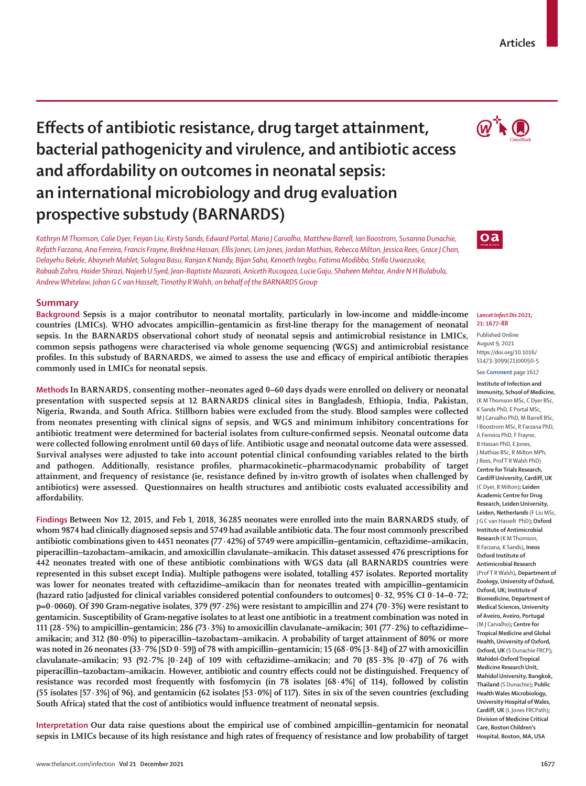# **Effects of antibiotic resistance, drug target attainment, and affordability on outcomes in neonatal sepsis: an international microbiology and drug evaluation**

 $\mathbb{Q}^+$   $\bullet$ 

**Articles**

# $oa$

#### *Lancet Infect Dis* **2021; 21: 1677–88**

Published **Online** August 9, 2021 https://doi.org/10.1016/ S1473-3099(21)00050-5

#### See **Comment** page 1617

**Institute of Infection and Immunity, School of Medicine,** (K M Thomson MSc, C Dyer BSc, K Sands PhD, E Portal MSc, M J Carvalho PhD, M Barrell BSc, I Boostrom MSc, R Farzana PhD, A Ferreira PhD, F Frayne, B Hassan PhD, E Jones, J Mathias BSc, R Milton MPh, J Rees, Prof T R Walsh PhD) **Centre for Trials Research, Cardiff University, Cardiff, UK**  (C Dyer, R Milton)**; Leiden Academic Centre for Drug Research, Leiden University, Leiden, Netherlands** (F Liu MSc, J G C van Hasselt PhD)**; Oxford Institute of Antimicrobial Research** (K M Thomson, R Farzana, K Sands)**, Ineos Oxford Institute of Antimicrobial Research**  (Prof T R Walsh)**, Department of Zoology, University of Oxford, Oxford, UK; Institute of Biomedicine, Department of Medical Sciences, University of Aveiro, Aveiro, Portugal**  (M J Carvalho)**; Centre for Tropical Medicine and Global Health, University of Oxford, Oxford, UK** (S Dunachie FRCP)**; Mahidol-Oxford Tropical Medicine Research Unit, Mahidol University, Bangkok, Thailand** (S Dunachie)**; Public Health Wales Microbiology, University Hospital of Wales, Cardiff, UK** (L Jones FRCPath)**; Division of Medicine Critical Care, Boston Children's Hospital, Boston, MA, USA**

**bacterial pathogenicity and virulence, and antibiotic access prospective substudy (BARNARDS)**  *Kathryn M Thomson, Calie Dyer, Feiyan Liu, Kirsty Sands, Edward Portal, Maria J Carvalho, Matthew Barrell, Ian Boostrom, Susanna Dunachie, Refath Farzana, Ana Ferreira, Francis Frayne, Brekhna Hassan, Ellis Jones, Lim Jones, Jordan Mathias, Rebecca Milton, Jessica Rees, Grace J Chan, Delayehu Bekele, Abayneh Mahlet, Sulagna Basu, Ranjan K Nandy, Bijan Saha, Kenneth Iregbu, Fatima Modibbo, Stella Uwaezuoke,* 

*Rabaab Zahra, Haider Shirazi, Najeeb U Syed, Jean-Baptiste Mazarati, Aniceth Rucogoza, Lucie Gaju, Shaheen Mehtar, Andre N H Bulabula, Andrew Whitelaw, Johan G C van Hasselt, Timothy R Walsh, on behalf of the BARNARDS Group*

# **Summary**

**Background Sepsis is a major contributor to neonatal mortality, particularly in low-income and middle-income countries (LMICs). WHO advocates ampicillin–gentamicin as first-line therapy for the management of neonatal sepsis. In the BARNARDS observational cohort study of neonatal sepsis and antimicrobial resistance in LMICs, common sepsis pathogens were characterised via whole genome sequencing (WGS) and antimicrobial resistance profiles. In this substudy of BARNARDS, we aimed to assess the use and efficacy of empirical antibiotic therapies commonly used in LMICs for neonatal sepsis.**

**Methods In BARNARDS, consenting mother–neonates aged 0–60 days dyads were enrolled on delivery or neonatal presentation with suspected sepsis at 12 BARNARDS clinical sites in Bangladesh, Ethiopia, India, Pakistan, Nigeria, Rwanda, and South Africa. Stillborn babies were excluded from the study. Blood samples were collected from neonates presenting with clinical signs of sepsis, and WGS and minimum inhibitory concentrations for antibiotic treatment were determined for bacterial isolates from culture-confirmed sepsis. Neonatal outcome data were collected following enrolment until 60 days of life. Antibiotic usage and neonatal outcome data were assessed. Survival analyses were adjusted to take into account potential clinical confounding variables related to the birth and pathogen. Additionally, resistance profiles, pharmacokinetic–pharmacodynamic probability of target attainment, and frequency of resistance (ie, resistance defined by in-vitro growth of isolates when challenged by antibiotics) were assessed. Questionnaires on health structures and antibiotic costs evaluated accessibility and affordability.**

**Findings Between Nov 12, 2015, and Feb 1, 2018, 36285 neonates were enrolled into the main BARNARDS study, of whom 9874 had clinically diagnosed sepsis and 5749 had available antibiotic data. The four most commonly prescribed antibiotic combinations given to 4451 neonates (77·42%) of 5749 were ampicillin–gentamicin, ceftazidime–amikacin, piperacillin–tazobactam–amikacin, and amoxicillin clavulanate–amikacin. This dataset assessed 476 prescriptions for 442 neonates treated with one of these antibiotic combinations with WGS data (all BARNARDS countries were represented in this subset except India). Multiple pathogens were isolated, totalling 457 isolates. Reported mortality was lower for neonates treated with ceftazidime–amikacin than for neonates treated with ampicillin–gentamicin (hazard ratio [adjusted for clinical variables considered potential confounders to outcomes] 0·32, 95% CI 0·14–0·72; p=0·0060). Of 390 Gram-negative isolates, 379 (97·2%) were resistant to ampicillin and 274 (70·3%) were resistant to gentamicin. Susceptibility of Gram-negative isolates to at least one antibiotic in a treatment combination was noted in 111 (28·5%) to ampicillin–gentamicin; 286 (73·3%) to amoxicillin clavulanate–amikacin; 301 (77·2%) to ceftazidime– amikacin; and 312 (80·0%) to piperacillin–tazobactam–amikacin. A probability of target attainment of 80% or more was noted in 26 neonates (33·7% [SD 0·59]) of 78 with ampicillin–gentamicin; 15 (68·0% [3·84]) of 27 with amoxicillin clavulanate–amikacin; 93 (92·7% [0·24]) of 109 with ceftazidime–amikacin; and 70 (85·3% [0·47]) of 76 with piperacillin–tazobactam–amikacin. However, antibiotic and country effects could not be distinguished. Frequency of resistance was recorded most frequently with fosfomycin (in 78 isolates [68·4%] of 114), followed by colistin (55 isolates [57·3%] of 96), and gentamicin (62 isolates [53·0%] of 117). Sites in six of the seven countries (excluding South Africa) stated that the cost of antibiotics would influence treatment of neonatal sepsis.**

**Interpretation Our data raise questions about the empirical use of combined ampicillin–gentamicin for neonatal sepsis in LMICs because of its high resistance and high rates of frequency of resistance and low probability of target**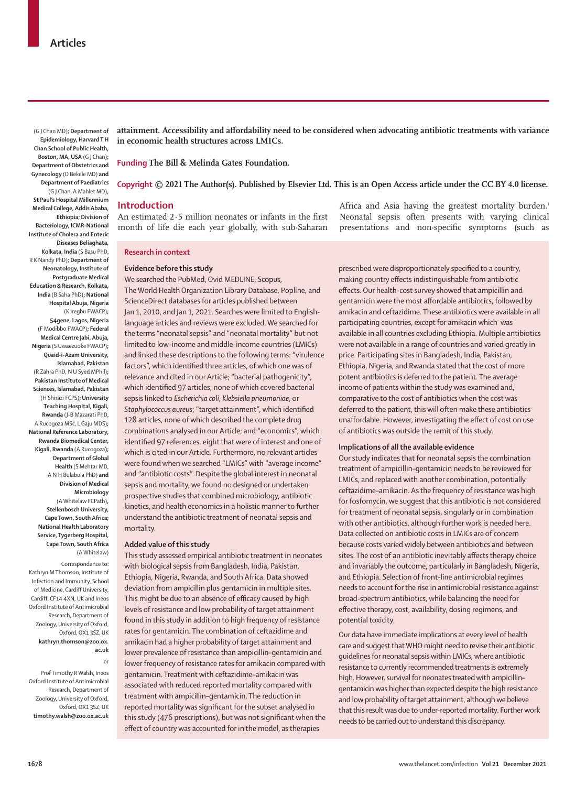(G J Chan MD)**; Department of Epidemiology, Harvard T H Chan School of Public Health, Boston, MA, USA** (G J Chan)**; Department of Obstetrics and Gynecology** (D Bekele MD) **and Department of Paediatrics**  (G J Chan, A Mahlet MD)**, St Paul's Hospital Millennium Medical College, Addis Ababa, Ethiopia; Division of Bacteriology, ICMR-National Institute of Cholera and Enteric Diseases Beliaghata, Kolkata, India** (S Basu PhD, R K Nandy PhD)**; Department of Neonatology, Institute of Postgraduate Medical Education & Research, Kolkata, India** (B Saha PhD)**; National Hospital Abuja, Nigeria**  (K Iregbu FWACP)**; 54gene, Lagos, Nigeria**  (F Modibbo FWACP)**; Federal Medical Centre Jabi, Abuja, Nigeria** (S Uwaezuoke FWACP)**; Quaid-i-Azam University, Islamabad, Pakistan** (R Zahra PhD, N U Syed MPhil)**; Pakistan Institute of Medical Sciences, Islamabad, Pakistan** (H Shirazi FCPS)**; University Teaching Hospital, Kigali, Rwanda** (J-B Mazarati PhD, A Rucogoza MSc, L Gaju MDS)**; National Reference Laboratory, Rwanda Biomedical Center, Kigali, Rwanda** (A Rucogoza**); Department of Global Health** (S Mehtar MD, A N H Bulabula PhD) **and Division of Medical** 

**Microbiology**  (A Whitelaw FCPath)**, Stellenbosch University, Cape Town, South Africa; National Health Laboratory Service, Tygerberg Hospital, Cape Town, South Africa**  (A Whitelaw)

Correspondence to: Kathryn M Thomson, Institute of Infection and Immunity, School of Medicine, Cardiff University, Cardiff, CF14 4XN, UK and Ineos Oxford Institute of Antimicrobial Research, Department of Zoology, University of Oxford, Oxford, OX1 3SZ, UK **kathryn.thomson@zoo.ox. ac.uk** 

Prof Timothy R Walsh, Ineos Oxford Institute of Antimicrobial Research, Department of Zoology, University of Oxford, Oxford, OX1 3SZ, UK **timothy.walsh@zoo.ox.ac.uk**

or

**attainment. Accessibility and affordability need to be considered when advocating antibiotic treatments with variance in economic health structures across LMICs.**

**Funding The Bill & Melinda Gates Foundation.**

## **Copyright © 2021 The Author(s). Published by Elsevier Ltd. This is an Open Access article under the CC BY 4.0 license.**

## **Introduction**

An estimated 2·5 million neonates or infants in the first month of life die each year globally, with sub-Saharan

**Research in context**

## **Evidence before this study**

We searched the PubMed, Ovid MEDLINE, Scopus, The World Health Organization Library Database, Popline, and ScienceDirect databases for articles published between Jan 1, 2010, and Jan 1, 2021. Searches were limited to Englishlanguage articles and reviews were excluded. We searched for the terms "neonatal sepsis" and "neonatal mortality" but not limited to low-income and middle-income countries (LMICs) and linked these descriptions to the following terms: "virulence factors", which identified three articles, of which one was of relevance and cited in our Article; "bacterial pathogenicity", which identified 97 articles, none of which covered bacterial sepsis linked to *Escherichia coli*, *Klebsiella pneumoniae*, or *Staphylococcus aureus*; "target attainment", which identified 128 articles, none of which described the complete drug combinations analysed in our Article; and "economics", which identified 97 references, eight that were of interest and one of which is cited in our Article. Furthermore, no relevant articles were found when we searched "LMICs" with "average income" and "antibiotic costs". Despite the global interest in neonatal sepsis and mortality, we found no designed or undertaken prospective studies that combined microbiology, antibiotic kinetics, and health economics in a holistic manner to further understand the antibiotic treatment of neonatal sepsis and mortality.

# **Added value of this study**

This study assessed empirical antibiotic treatment in neonates with biological sepsis from Bangladesh, India, Pakistan, Ethiopia, Nigeria, Rwanda, and South Africa. Data showed deviation from ampicillin plus gentamicin in multiple sites. This might be due to an absence of efficacy caused by high levels of resistance and low probability of target attainment found in this study in addition to high frequency of resistance rates for gentamicin. The combination of ceftazidime and amikacin had a higher probability of target attainment and lower prevalence of resistance than ampicillin–gentamicin and lower frequency of resistance rates for amikacin compared with gentamicin. Treatment with ceftazidime–amikacin was associated with reduced reported mortality compared with treatment with ampicillin–gentamicin. The reduction in reported mortality was significant for the subset analysed in this study (476 prescriptions), but was not significant when the effect of country was accounted for in the model, as therapies

Africa and Asia having the greatest mortality burden.<sup>1</sup> Neonatal sepsis often presents with varying clinical presentations and non-specific symptoms (such as

prescribed were disproportionately specified to a country, making country effects indistinguishable from antibiotic effects. Our health-cost survey showed that ampicillin and gentamicin were the most affordable antibiotics, followed by amikacin and ceftazidime. These antibiotics were available in all participating countries, except for amikacin which was available in all countries excluding Ethiopia. Multiple antibiotics were not available in a range of countries and varied greatly in price. Participating sites in Bangladesh, India, Pakistan, Ethiopia, Nigeria, and Rwanda stated that the cost of more potent antibiotics is deferred to the patient. The average income of patients within the study was examined and, comparative to the cost of antibiotics when the cost was deferred to the patient, this will often make these antibiotics unaffordable. However, investigating the effect of cost on use of antibiotics was outside the remit of this study.

#### **Implications of all the available evidence**

Our study indicates that for neonatal sepsis the combination treatment of ampicillin–gentamicin needs to be reviewed for LMICs, and replaced with another combination, potentially ceftazidime–amikacin. As the frequency of resistance was high for fosfomycin, we suggest that this antibiotic is not considered for treatment of neonatal sepsis, singularly or in combination with other antibiotics, although further work is needed here. Data collected on antibiotic costs in LMICs are of concern because costs varied widely between antibiotics and between sites. The cost of an antibiotic inevitably affects therapy choice and invariably the outcome, particularly in Bangladesh, Nigeria, and Ethiopia. Selection of front-line antimicrobial regimes needs to account for the rise in antimicrobial resistance against broad-spectrum antibiotics, while balancing the need for effective therapy, cost, availability, dosing regimens, and potential toxicity.

Our data have immediate implications at every level of health care and suggest that WHO might need to revise their antibiotic guidelines for neonatal sepsis within LMICs, where antibiotic resistance to currently recommended treatments is extremely high. However, survival for neonates treated with ampicillin– gentamicin was higher than expected despite the high resistance and low probability of target attainment, although we believe that this result was due to under-reported mortality. Further work needs to be carried out to understand this discrepancy.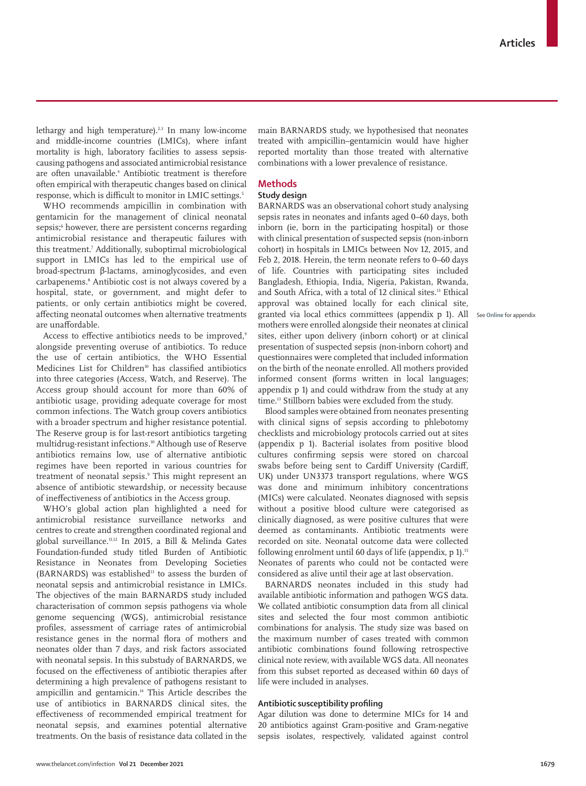lethargy and high temperature).<sup>2,3</sup> In many low-income and middle-income countries (LMICs), where infant mortality is high, laboratory facilities to assess sepsiscausing pathogens and associated antimicrobial resistance are often unavailable.4 Antibiotic treatment is therefore often empirical with therapeutic changes based on clinical response, which is difficult to monitor in LMIC settings.<sup>5</sup>

WHO recommends ampicillin in combination with gentamicin for the management of clinical neonatal sepsis;6 however, there are persistent concerns regarding antimicrobial resistance and therapeutic failures with this treatment.7 Additionally, suboptimal microbiological support in LMICs has led to the empirical use of broad-spectrum β-lactams, aminoglycosides, and even carbapenems.8 Antibiotic cost is not always covered by a hospital, state, or government, and might defer to patients, or only certain antibiotics might be covered, affecting neonatal outcomes when alternative treatments are unaffordable.

Access to effective antibiotics needs to be improved,<sup>9</sup> alongside preventing overuse of antibiotics. To reduce the use of certain antibiotics, the WHO Essential Medicines List for Children<sup>10</sup> has classified antibiotics into three categories (Access, Watch, and Reserve). The Access group should account for more than 60% of antibiotic usage, providing adequate coverage for most common infections. The Watch group covers antibiotics with a broader spectrum and higher resistance potential. The Reserve group is for last-resort antibiotics targeting multidrug-resistant infections.10 Although use of Reserve antibiotics remains low, use of alternative antibiotic regimes have been reported in various countries for treatment of neonatal sepsis.9 This might represent an absence of antibiotic stewardship, or necessity because of ineffectiveness of antibiotics in the Access group.

WHO's global action plan highlighted a need for antimicrobial resistance surveillance networks and centres to create and strengthen coordinated regional and global surveillance.11,12 In 2015, a Bill & Melinda Gates Foundation-funded study titled Burden of Antibiotic Resistance in Neonates from Developing Societies (BARNARDS) was established $13$  to assess the burden of neonatal sepsis and antimicrobial resistance in LMICs. The objectives of the main BARNARDS study included characterisation of common sepsis pathogens via whole genome sequencing (WGS), antimicrobial resistance profiles, assessment of carriage rates of antimicrobial resistance genes in the normal flora of mothers and neonates older than 7 days, and risk factors associated with neonatal sepsis. In this substudy of BARNARDS, we focused on the effectiveness of antibiotic therapies after determining a high prevalence of pathogens resistant to ampicillin and gentamicin.14 This Article describes the use of antibiotics in BARNARDS clinical sites, the effectiveness of recommended empirical treatment for neonatal sepsis, and examines potential alternative treatments. On the basis of resistance data collated in the main BARNARDS study, we hypothesised that neonates treated with ampicillin–gentamicin would have higher reported mortality than those treated with alternative combinations with a lower prevalence of resistance.

# **Methods**

# **Study design**

BARNARDS was an observational cohort study analysing sepsis rates in neonates and infants aged 0–60 days, both inborn (ie, born in the participating hospital) or those with clinical presentation of suspected sepsis (non-inborn cohort) in hospitals in LMICs between Nov 12, 2015, and Feb 2, 2018. Herein, the term neonate refers to 0–60 days of life. Countries with participating sites included Bangladesh, Ethiopia, India, Nigeria, Pakistan, Rwanda, and South Africa, with a total of 12 clinical sites.13 Ethical approval was obtained locally for each clinical site, granted via local ethics committees (appendix p 1). All mothers were enrolled alongside their neonates at clinical sites, either upon delivery (inborn cohort) or at clinical presentation of suspected sepsis (non-inborn cohort) and questionnaires were completed that included information on the birth of the neonate enrolled. All mothers provided informed consent (forms written in local languages; appendix p 1) and could withdraw from the study at any time.<sup>13</sup> Stillborn babies were excluded from the study.

Blood samples were obtained from neonates presenting with clinical signs of sepsis according to phlebotomy checklists and microbiology protocols carried out at sites (appendix p 1). Bacterial isolates from positive blood cultures confirming sepsis were stored on charcoal swabs before being sent to Cardiff University (Cardiff, UK) under UN3373 transport regulations, where WGS was done and minimum inhibitory concentrations (MICs) were calculated. Neonates diagnosed with sepsis without a positive blood culture were categorised as clinically diagnosed, as were positive cultures that were deemed as contaminants. Antibiotic treatments were recorded on site. Neonatal outcome data were collected following enrolment until 60 days of life (appendix, p 1).15 Neonates of parents who could not be contacted were considered as alive until their age at last observation.

BARNARDS neonates included in this study had available antibiotic information and pathogen WGS data. We collated antibiotic consumption data from all clinical sites and selected the four most common antibiotic combinations for analysis. The study size was based on the maximum number of cases treated with common antibiotic combinations found following retrospective clinical note review, with available WGS data. All neonates from this subset reported as deceased within 60 days of life were included in analyses.

# **Antibiotic susceptibility profiling**

Agar dilution was done to determine MICs for 14 and 20 antibiotics against Gram-positive and Gram-negative sepsis isolates, respectively, validated against control

See **Online** for appendix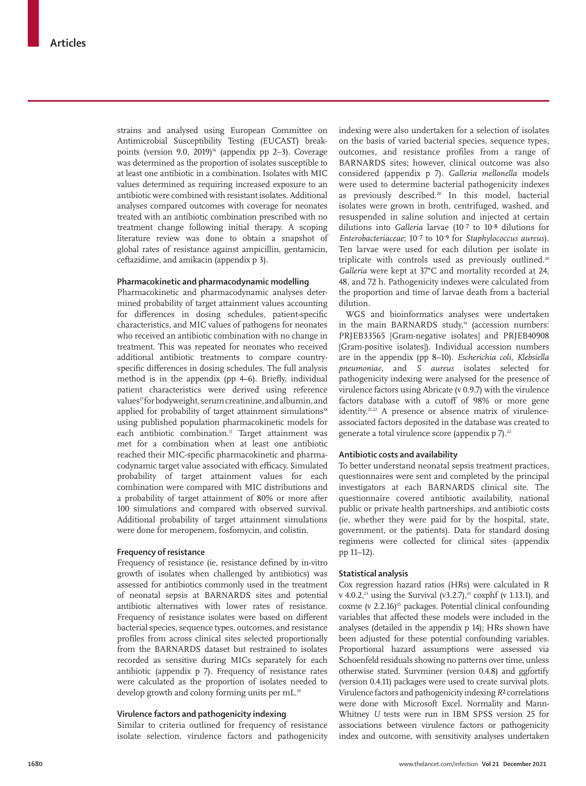strains and analysed using European Committee on Antimicrobial Susceptibility Testing (EUCAST) breakpoints (version 9.0, 2019)<sup>16</sup> (appendix pp 2–3). Coverage was determined as the proportion of isolates susceptible to at least one antibiotic in a combination. Isolates with MIC values determined as requiring increased exposure to an antibiotic were combined with resistant isolates. Additional analyses compared outcomes with coverage for neonates treated with an antibiotic combination prescribed with no treatment change following initial therapy. A scoping literature review was done to obtain a snapshot of global rates of resistance against ampicillin, gentamicin, ceftazidime, and amikacin (appendix p 3).

# **Pharmacokinetic and pharmacodynamic modelling**

Pharmacokinetic and pharmacodynamic analyses determined probability of target attainment values accounting for differences in dosing schedules, patient-specific characteristics, and MIC values of pathogens for neonates who received an antibiotic combination with no change in treatment. This was repeated for neonates who received additional antibiotic treatments to compare countryspecific differences in dosing schedules. The full analysis method is in the appendix (pp 4–6). Briefly, individual patient characteristics were derived using reference values<sup>17</sup> for bodyweight, serum creatinine, and albumin, and applied for probability of target attainment simulations<sup>18</sup> using published population pharmacokinetic models for each antibiotic combination.<sup>11</sup> Target attainment was met for a combination when at least one antibiotic reached their MIC-specific pharmacokinetic and pharmacodynamic target value associated with efficacy. Simulated probability of target attainment values for each combination were compared with MIC distributions and a probability of target attainment of 80% or more after 100 simulations and compared with observed survival. Additional probability of target attainment simulations were done for meropenem, fosfomycin, and colistin.

# **Frequency of resistance**

Frequency of resistance (ie, resistance defined by in-vitro growth of isolates when challenged by antibiotics) was assessed for antibiotics commonly used in the treatment of neonatal sepsis at BARNARDS sites and potential antibiotic alternatives with lower rates of resistance. Frequency of resistance isolates were based on different bacterial species, sequence types, outcomes, and resistance profiles from across clinical sites selected proportionally from the BARNARDS dataset but restrained to isolates recorded as sensitive during MICs separately for each antibiotic (appendix p 7). Frequency of resistance rates were calculated as the proportion of isolates needed to develop growth and colony forming units per mL.<sup>19</sup>

# **Virulence factors and pathogenicity indexing**

Similar to criteria outlined for frequency of resistance isolate selection, virulence factors and pathogenicity indexing were also undertaken for a selection of isolates on the basis of varied bacterial species, sequence types, outcomes, and resistance profiles from a range of BARNARDS sites; however, clinical outcome was also considered (appendix p 7). *Galleria mellonella* models were used to determine bacterial pathogenicity indexes as previously described.<sup>20</sup> In this model, bacterial isolates were grown in broth, centrifuged, washed, and resuspended in saline solution and injected at certain dilutions into *Galleria* larvae (10– ⁷ to 10– ⁸ dilutions for Enterobacteriaceae; 10<sup>-7</sup> to 10<sup>-9</sup> for *Staphylococcus aureus*). Ten larvae were used for each dilution per isolate in triplicate with controls used as previously outlined.<sup>20</sup> *Galleria* were kept at 37°C and mortality recorded at 24, 48, and 72 h. Pathogenicity indexes were calculated from the proportion and time of larvae death from a bacterial dilution.

WGS and bioinformatics analyses were undertaken in the main BARNARDS study,<sup>14</sup> (accession numbers: PRJEB33565 [Gram-negative isolates] and PRJEB40908 [Gram-positive isolates]). Individual accession numbers are in the appendix (pp 8–10). *Escherichia coli, Klebsiella pneumoniae,* and *S aureus* isolates selected for pathogenicity indexing were analysed for the presence of virulence factors using Abricate (v 0.9.7) with the virulence factors database with a cutoff of 98% or more gene identity.<sup>21,22</sup> A presence or absence matrix of virulenceassociated factors deposited in the database was created to generate a total virulence score (appendix  $p 7$ ).<sup>22</sup>

## **Antibiotic costs and availability**

To better understand neonatal sepsis treatment practices, questionnaires were sent and completed by the principal investigators at each BARNARDS clinical site. The questionnaire covered antibiotic availability, national public or private health partnerships, and antibiotic costs (ie, whether they were paid for by the hospital, state, government, or the patients). Data for standard dosing regimens were collected for clinical sites (appendix pp 11–12).

# **Statistical analysis**

Cox regression hazard ratios (HRs) were calculated in R v 4.0.2,<sup>23</sup> using the Survival (v3.2.7),<sup>24</sup> coxphf (v 1.13.1), and coxme (v  $2.2.16$ )<sup>25</sup> packages. Potential clinical confounding variables that affected these models were included in the analyses (detailed in the appendix p 14); HRs shown have been adjusted for these potential confounding variables. Proportional hazard assumptions were assessed via Schoenfeld residuals showing no patterns over time, unless otherwise stated. Survminer (version 0.4.8) and ggfortify (version 0.4.11) packages were used to create survival plots. Virulence factors and pathogenicity indexing *R*² correlations were done with Microsoft Excel. Normality and Mann-Whitney *U* tests were run in IBM SPSS version 25 for associations between virulence factors or pathogenicity index and outcome, with sensitivity analyses undertaken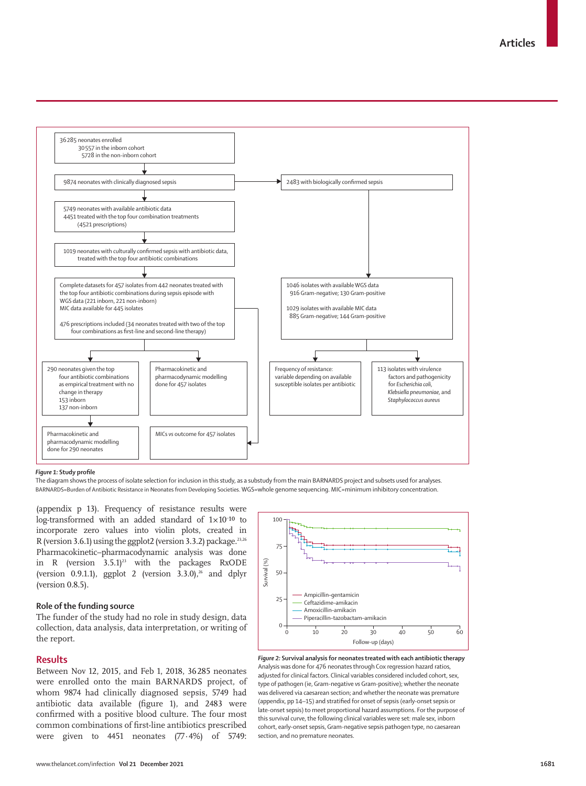

#### *Figure 1:* **Study profile**

The diagram shows the process of isolate selection for inclusion in this study, as a substudy from the main BARNARDS project and subsets used for analyses. BARNARDS=Burden of Antibiotic Resistance in Neonates from Developing Societies. WGS=whole genome sequencing. MIC=minimum inhibitory concentration.

(appendix p 13). Frequency of resistance results were log-transformed with an added standard of  $1\times10^{-10}$  to incorporate zero values into violin plots, created in R (version 3.6.1) using the ggplot2 (version 3.3.2) package. $23,26$ Pharmacokinetic–pharmacodynamic analysis was done in R (version  $3.5.1$ )<sup>23</sup> with the packages RxODE (version 0.9.1.1), ggplot 2 (version 3.3.0),<sup>26</sup> and dplyr (version 0.8.5).

# **Role of the funding source**

The funder of the study had no role in study design, data collection, data analysis, data interpretation, or writing of the report.

## **Results**

Between Nov 12, 2015, and Feb 1, 2018, 36285 neonates were enrolled onto the main BARNARDS project, of whom 9874 had clinically diagnosed sepsis, 5749 had antibiotic data available (figure 1), and 2483 were confirmed with a positive blood culture. The four most common combinations of first-line antibiotics prescribed were given to 4451 neonates (77.4%) of 5749:



*Figure 2:* **Survival analysis for neonates treated with each antibiotic therapy** Analysis was done for 476 neonates through Cox regression hazard ratios, adjusted for clinical factors. Clinical variables considered included cohort, sex, type of pathogen (ie, Gram-negative *vs* Gram-positive); whether the neonate was delivered via caesarean section; and whether the neonate was premature (appendix, pp 14–15) and stratified for onset of sepsis (early-onset sepsis or late-onset sepsis) to meet proportional hazard assumptions. For the purpose of this survival curve, the following clinical variables were set: male sex, inborn cohort, early-onset sepsis, Gram-negative sepsis pathogen type, no caesarean section, and no premature neonates.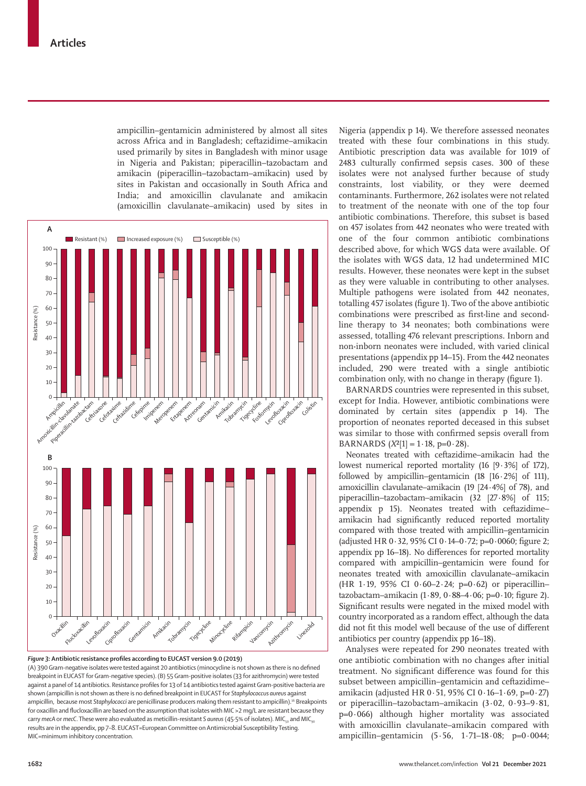ampicillin–gentamicin administered by almost all sites across Africa and in Bangladesh; ceftazidime–amikacin used primarily by sites in Bangladesh with minor usage in Nigeria and Pakistan; piperacillin–tazobactam and amikacin (piperacillin–tazobactam–amikacin) used by sites in Pakistan and occasionally in South Africa and India; and amoxicillin clavulanate and amikacin (amoxicillin clavulanate–amikacin) used by sites in



*Figure 3:* **Antibiotic resistance profiles according to EUCAST version 9.0 (2019)** (A) 390 Gram-negative isolates were tested against 20 antibiotics (minocycline is not shown as there is no defined breakpoint in EUCAST for Gram-negative species). (B) 55 Gram-positive isolates (33 for azithromycin) were tested against a panel of 14 antibiotics. Resistance profiles for 13 of 14 antibiotics tested against Gram-positive bacteria are shown (ampicillin is not shown as there is no defined breakpoint in EUCAST for *Staphylococcus aureus* against ampicillin, because most *Staphylococci* are penicillinase producers making them resistant to ampicillin).16 Breakpoints for oxacillin and flucloxacillin are based on the assumption that isolates with MIC >2 mg/L are resistant because they carry *mecA* or *mecC*. These were also evaluated as meticillin-resistant S aureus (45.5% of isolates). MIC<sub>50</sub> and MIC<sub>90</sub> results are in the appendix, pp 7–8. EUCAST=European Committee on Antimicrobial Susceptibility Testing. MIC=minimum inhibitory concentration.

Nigeria (appendix p 14). We therefore assessed neonates treated with these four combinations in this study. Antibiotic prescription data was available for 1019 of 2483 culturally confirmed sepsis cases. 300 of these isolates were not analysed further because of study constraints, lost viability, or they were deemed contaminants. Furthermore, 262 isolates were not related to treatment of the neonate with one of the top four antibiotic combinations. Therefore, this subset is based on 457 isolates from 442 neonates who were treated with one of the four common antibiotic combinations described above, for which WGS data were available. Of the isolates with WGS data, 12 had undetermined MIC results. However, these neonates were kept in the subset as they were valuable in contributing to other analyses. Multiple pathogens were isolated from 442 neonates, totalling 457 isolates (figure 1). Two of the above antibiotic combinations were prescribed as first-line and secondline therapy to 34 neonates; both combinations were assessed, totalling 476 relevant prescriptions. Inborn and non-inborn neonates were included, with varied clinical presentations (appendix pp 14–15). From the 442 neonates included, 290 were treated with a single antibiotic combination only, with no change in therapy (figure 1).

BARNARDS countries were represented in this subset, except for India. However, antibiotic combinations were dominated by certain sites (appendix p 14). The proportion of neonates reported deceased in this subset was similar to those with confirmed sepsis overall from BARNARDS  $(X^2[1] = 1.18, p=0.28)$ .

Neonates treated with ceftazidime–amikacin had the lowest numerical reported mortality (16 [9·3%] of 172), followed by ampicillin–gentamicin  $(18 \t[16 \t- 2\%)$  of 111), amoxicillin clavulanate–amikacin (19 [24·4%] of 78), and piperacillin–tazobactam–amikacin (32 [27·8%] of 115; appendix p 15). Neonates treated with ceftazidime– amikacin had significantly reduced reported mortality compared with those treated with ampicillin–gentamicin (adjusted HR  $0.32$ , 95% CI  $0.14-0.72$ ; p=0.0060; figure 2; appendix pp 16–18). No differences for reported mortality compared with ampicillin–gentamicin were found for neonates treated with amoxicillin clavulanate–amikacin (HR 1·19, 95% CI 0·60–2·24; p=0·62) or piperacillin–  $tazobactam-amikacin$  (1 $-89, 0.88-4.06$ ; p=0 $-10$ ; figure 2). Significant results were negated in the mixed model with country incorporated as a random effect, although the data did not fit this model well because of the use of different antibiotics per country (appendix pp 16–18).

Analyses were repeated for 290 neonates treated with one antibiotic combination with no changes after initial treatment. No significant difference was found for this subset between ampicillin–gentamicin and ceftazidime– amikacin (adjusted HR 0·51, 95% CI 0·16–1·69, p=0·27) or piperacillin–tazobactam–amikacin (3·02, 0·93–9·81,  $p=0.066$ ) although higher mortality was associated with amoxicillin clavulanate–amikacin compared with ampicillin–gentamicin  $(5.56, 1.71-18.08; p=0.0044;$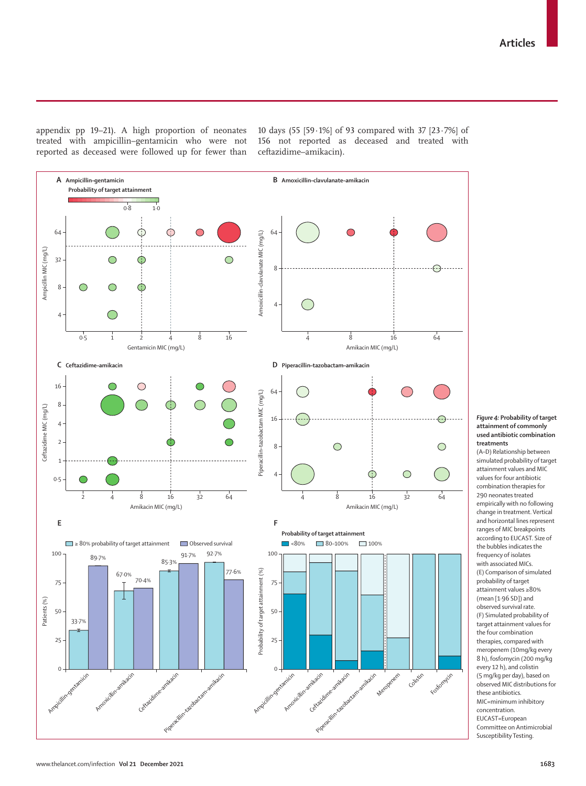appendix pp 19–21). A high proportion of neonates treated with ampicillin–gentamicin who were not reported as deceased were followed up for fewer than

10 days (55 [59·1%] of 93 compared with 37 [23·7%] of 156 not reported as deceased and treated with ceftazidime–amikacin).



#### *Figure 4:* **Probability of target attainment of commonly used antibiotic combination treatments**

(A–D) Relationship between simulated probability of target attainment values and MIC values for four antibiotic combination therapies for 290 neonates treated empirically with no following change in treatment. Vertical and horizontal lines represent ranges of MIC breakpoints according to EUCAST. Size of the bubbles indicates the frequency of isolates with associated MICs. (E) Comparison of simulated probability of target attainment values ≥80% (mean [1·96 SD]) and observed survival rate. (F) Simulated probability of target attainment values for the four combination therapies, compared with meropenem (10mg/kg every 8 h), fosfomycin (200 mg/kg every 12 h), and colistin (5 mg/kg per day), based on observed MIC distributions for these antibiotics. MIC=minimum inhibitory concentration. EUCAST=European Committee on Antimicrobial Susceptibility Testing.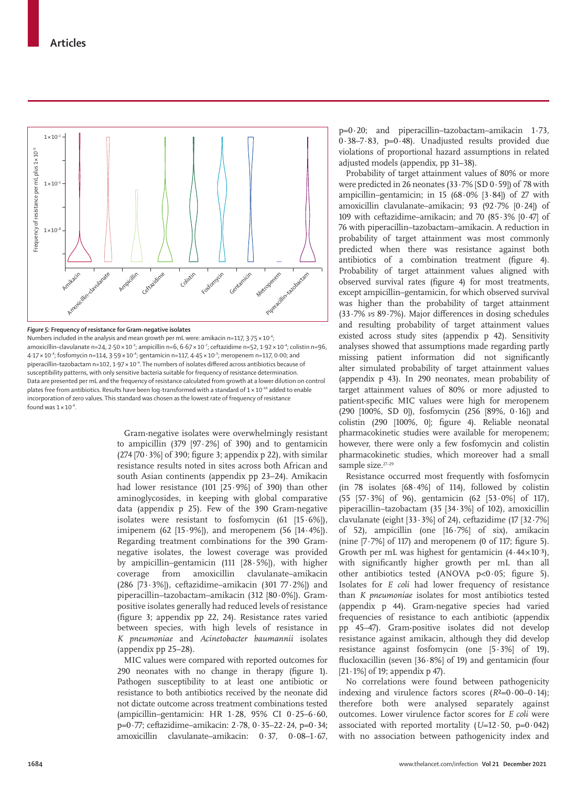

*Figure 5:* **Frequency of resistance for Gram-negative isolates**

Numbers included in the analysis and mean growth per mL were: amikacin n=117,  $3.75 \times 10^{-4}$ ; amoxicillin–clavulanate n=24, 2·50 × 10<sup>-3</sup>; ampicillin n=6, 6·67 × 10<sup>-7</sup>; ceftazidime n=52, 1·92 × 10<sup>-4</sup>; colistin n=96, 4·17 × 10<sup>-4</sup>; fosfomycin n=114, 3·59 × 10<sup>-4</sup>; gentamicin n=117, 4·45 × 10<sup>-3</sup>; meropenem n=117, 0·00; and piperacillin–tazobactam n=102, 1·97 × 10<sup>-4</sup>. The numbers of isolates differed across antibiotics because of susceptibility patterns, with only sensitive bacteria suitable for frequency of resistance determination. Data are presented per mL and the frequency of resistance calculated from growth at a lower dilution on control plates free from antibiotics. Results have been log-transformed with a standard of 1 × 10<sup>-10</sup> added to enable incorporation of zero values. This standard was chosen as the lowest rate of frequency of resistance found was  $1 \times 10^{-9}$ .

> Gram-negative isolates were overwhelmingly resistant to ampicillin (379 [97·2%] of 390) and to gentamicin  $(274 [70.3\%]$  of 390; figure 3; appendix p 22), with similar resistance results noted in sites across both African and south Asian continents (appendix pp 23–24). Amikacin had lower resistance (101  $[25.9\%]$  of 390) than other aminoglycosides, in keeping with global comparative data (appendix p 25). Few of the 390 Gram-negative isolates were resistant to fosfomycin (61 [15·6%]), imipenem (62 [15·9%]), and meropenem (56 [14·4%]). Regarding treatment combinations for the 390 Gramnegative isolates, the lowest coverage was provided by ampicillin–gentamicin (111 [28·5%]), with higher coverage from amoxicillin clavulanate–amikacin (286 [73·3%]), ceftazidime–amikacin (301 77·2%]) and piperacillin–tazobactam–amikacin (312 [80·0%]). Grampositive isolates generally had reduced levels of resistance (figure 3; appendix pp 22, 24). Resistance rates varied between species, with high levels of resistance in *K pneumoniae* and *Acinetobacter baumannii* isolates (appendix pp 25–28).

MIC values were compared with reported outcomes for 290 neonates with no change in therapy (figure 1). Pathogen susceptibility to at least one antibiotic or resistance to both antibiotics received by the neonate did not dictate outcome across treatment combinations tested (ampicillin–gentamicin: HR 1·28, 95% CI 0·25–6·60, p=0·77; ceftazidime–amikacin: 2·78, 0·35–22·24, p=0·34**;**  amoxicillin clavulanate–amikacin: 0·37, 0·08–1·67,

 $p=0.20$ ; and piperacillin–tazobactam–amikacin 1.73, 0·38–7·83, p=0·48). Unadjusted results provided due violations of proportional hazard assumptions in related adjusted models (appendix, pp 31–38).

Probability of target attainment values of 80% or more were predicted in 26 neonates (33·7% [SD 0·59]) of 78 with ampicillin–gentamicin; in 15  $(68.0\%$  [3.84]) of 27 with amoxicillin clavulanate–amikacin; 93 (92·7% [0·24]) of 109 with ceftazidime–amikacin; and 70  $(85.3\%~[0.47]~\text{of}$ 76 with piperacillin–tazobactam–amikacin. A reduction in probability of target attainment was most commonly predicted when there was resistance against both antibiotics of a combination treatment (figure 4). Probability of target attainment values aligned with observed survival rates (figure 4) for most treatments, except ampicillin–gentamicin, for which observed survival was higher than the probability of target attainment (33·7% *vs* 89·7%). Major differences in dosing schedules and resulting probability of target attainment values existed across study sites (appendix p 42). Sensitivity analyses showed that assumptions made regarding partly missing patient information did not significantly alter simulated probability of target attainment values (appendix p 43). In 290 neonates, mean probability of target attainment values of 80% or more adjusted to patient-specific MIC values were high for meropenem (290 [100%, SD 0]), fosfomycin (256 [89%, 0·16]) and colistin (290 [100%, 0]; figure 4). Reliable neonatal pharmacokinetic studies were available for meropenem; however, there were only a few fosfomycin and colistin pharmacokinetic studies, which moreover had a small sample size.<sup>27-29</sup>

Resistance occurred most frequently with fosfomycin (in 78 isolates  $[68.4\%]$  of 114), followed by colistin (55 [57·3%] of 96), gentamicin (62 [53·0%] of 117), piperacillin–tazobactam (35 [34·3%] of 102), amoxicillin clavulanate (eight  $[33.3\%]$  of 24), ceftazidime (17  $[32.7\%]$ of 52), ampicillin (one [16·7%] of six), amikacin (nine  $[7.7\%]$  of 117) and meropenem (0 of 117; figure 5). Growth per mL was highest for gentamicin  $(4.44 \times 10^{-3})$ , with significantly higher growth per mL than all other antibiotics tested (ANOVA p<0·05; figure 5). Isolates for *E coli* had lower frequency of resistance than *K pneumoniae* isolates for most antibiotics tested (appendix p 44). Gram-negative species had varied frequencies of resistance to each antibiotic (appendix pp 45–47). Gram-positive isolates did not develop resistance against amikacin, although they did develop resistance against fosfomycin (one  $[5.3\%]$  of 19), flucloxacillin (seven  $[36.8\%]$  of 19) and gentamicin (four [21·1%] of 19; appendix p 47).

No correlations were found between pathogenicity indexing and virulence factors scores (*R*²=0·00–0·14); therefore both were analysed separately against outcomes. Lower virulence factor scores for *E coli* were associated with reported mortality  $(U=12.50, p=0.042)$ with no association between pathogenicity index and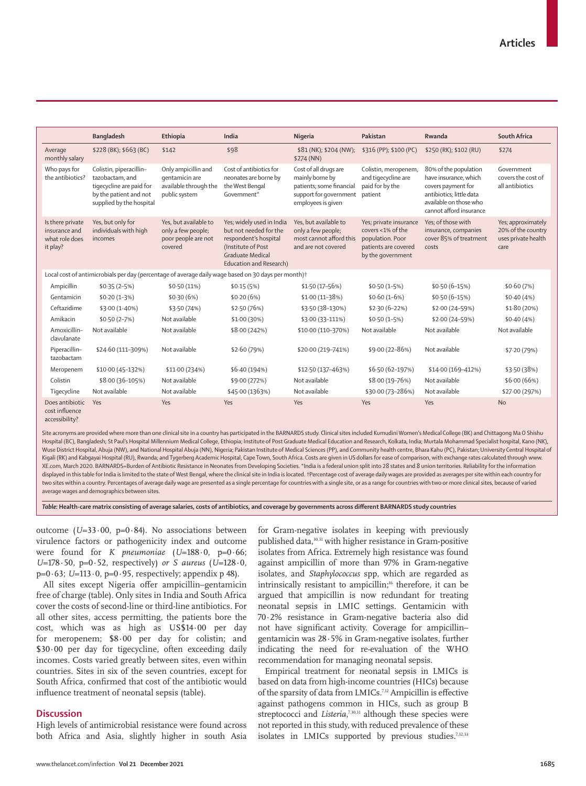|                                                                                                                 | <b>Bangladesh</b>                                                                                                            | Ethiopia                                                                        | India                                                                                                                                                    | Nigeria                                                                                                              | Pakistan                                                                                                     | Rwanda                                                                                                                                                | South Africa                                                            |
|-----------------------------------------------------------------------------------------------------------------|------------------------------------------------------------------------------------------------------------------------------|---------------------------------------------------------------------------------|----------------------------------------------------------------------------------------------------------------------------------------------------------|----------------------------------------------------------------------------------------------------------------------|--------------------------------------------------------------------------------------------------------------|-------------------------------------------------------------------------------------------------------------------------------------------------------|-------------------------------------------------------------------------|
| Average<br>monthly salary                                                                                       | \$228 (BK); \$663 (BC)                                                                                                       | \$142                                                                           | \$98                                                                                                                                                     | \$81 (NK); \$204 (NW);<br>\$274 (NN)                                                                                 | \$316 (PP); \$100 (PC)                                                                                       | \$250 (RK); \$102 (RU)                                                                                                                                | \$274                                                                   |
| Who pays for<br>the antibiotics?                                                                                | Colistin, piperacillin-<br>tazobactam, and<br>tigecycline are paid for<br>by the patient and not<br>supplied by the hospital | Only ampicillin and<br>gentamicin are<br>available through the<br>public system | Cost of antibiotics for<br>neonates are borne by<br>the West Bengal<br>Government*                                                                       | Cost of all drugs are<br>mainly borne by<br>patients; some financial<br>support for government<br>employees is given | Colistin, meropenem,<br>and tigecycline are<br>paid for by the<br>patient                                    | 80% of the population<br>have insurance, which<br>covers payment for<br>antibiotics; little data<br>available on those who<br>cannot afford insurance | Government<br>covers the cost of<br>all antibiotics                     |
| Is there private<br>insurance and<br>what role does<br>it play?                                                 | Yes, but only for<br>individuals with high<br>incomes                                                                        | Yes, but available to<br>only a few people;<br>poor people are not<br>covered   | Yes; widely used in India<br>but not needed for the<br>respondent's hospital<br>(Institute of Post<br><b>Graduate Medical</b><br>Education and Research) | Yes, but available to<br>only a few people;<br>most cannot afford this<br>and are not covered                        | Yes; private insurance<br>covers <1% of the<br>population. Poor<br>patients are covered<br>by the government | Yes: of those with<br>insurance, companies<br>cover 85% of treatment<br>costs                                                                         | Yes; approximately<br>20% of the country<br>uses private health<br>care |
| Local cost of antimicrobials per day (percentage of average daily wage based on 30 days per month) <sup>†</sup> |                                                                                                                              |                                                                                 |                                                                                                                                                          |                                                                                                                      |                                                                                                              |                                                                                                                                                       |                                                                         |
| Ampicillin                                                                                                      | $$0.35(2-5%)$                                                                                                                | \$0.50(11%)                                                                     | \$0.15(5%)                                                                                                                                               | \$1.50 (17-56%)                                                                                                      | $$0.50(1-5%)$                                                                                                | $$0.50(6-15%)$                                                                                                                                        | \$0.60(7%)                                                              |
| Gentamicin                                                                                                      | $$0.20(1-3%)$                                                                                                                | \$0.30(6%)                                                                      | \$0.20(6%)                                                                                                                                               | $$1.00(11-38%)$                                                                                                      | $$0.60(1-6%)$                                                                                                | $$0.50(6-15%)$                                                                                                                                        | \$0.40(4%)                                                              |
| Ceftazidime                                                                                                     | $$3.00(1-40%)$                                                                                                               | \$3.50 (74%)                                                                    | \$2.50(76%)                                                                                                                                              | \$3.50 (38-130%)                                                                                                     | $$2.30(6-22%)$                                                                                               | \$2.00 (24-59%)                                                                                                                                       | $$1.80(20\%)$                                                           |
| Amikacin                                                                                                        | $$0.50(2-7%)$                                                                                                                | Not available                                                                   | \$1.00 (30%)                                                                                                                                             | \$3.00 (33-111%)                                                                                                     | $$0.50(1-5%)$                                                                                                | \$2.00 (24-59%)                                                                                                                                       | \$0.40(4%)                                                              |
| Amoxicillin-<br>clavulanate                                                                                     | Not available                                                                                                                | Not available                                                                   | \$8.00 (242%)                                                                                                                                            | \$10.00 (110-370%)                                                                                                   | Not available                                                                                                | Not available                                                                                                                                         | Not available                                                           |
| Piperacillin-<br>tazobactam                                                                                     | \$24.60 (111-309%)                                                                                                           | Not available                                                                   | \$2.60 (79%)                                                                                                                                             | \$20.00 (219-741%)                                                                                                   | \$9.00 (22-86%)                                                                                              | Not available                                                                                                                                         | \$7.20 (79%)                                                            |
| Meropenem                                                                                                       | \$10.00 (45-132%)                                                                                                            | \$11.00 (234%)                                                                  | \$6.40 (194%)                                                                                                                                            | \$12.50 (137-463%)                                                                                                   | \$6.50 (62-197%)                                                                                             | \$14.00 (169-412%)                                                                                                                                    | \$3.50 (38%)                                                            |
| Colistin                                                                                                        | \$8.00 (36-105%)                                                                                                             | Not available                                                                   | \$9.00 (272%)                                                                                                                                            | Not available                                                                                                        | \$8.00 (19-76%)                                                                                              | Not available                                                                                                                                         | \$6.00 (66%)                                                            |
| Tigecycline                                                                                                     | Not available                                                                                                                | Not available                                                                   | \$45.00 (1363%)                                                                                                                                          | Not available                                                                                                        | \$30.00 (73-286%)                                                                                            | Not available                                                                                                                                         | \$27.00 (297%)                                                          |
| Does antibiotic<br>cost influence<br>accessibility?                                                             | Yes                                                                                                                          | Yes                                                                             | Yes                                                                                                                                                      | Yes                                                                                                                  | Yes                                                                                                          | Yes                                                                                                                                                   | <b>No</b>                                                               |

Site acronyms are provided where more than one clinical site in a country has participated in the BARNARDS study. Clinical sites included Kumudini Women's Medical College (BK) and Chittagong Ma O Shishu Hospital (BC), Bangladesh; St Paul's Hospital Millennium Medical College, Ethiopia; Institute of Post Graduate Medical Education and Research, Kolkata, India; Murtala Mohammad Specialist hospital, Kano (NK), Wuse District Hospital, Abuja (NW), and National Hospital Abuja (NN), Nigeria; Pakistan Institute of Medical Sciences (PP), and Community health centre, Bhara Kahu (PC), Pakistan; University Central Hospital of Kigali (RK) and Kabgayai Hospital (RU), Rwanda; and Tygerberg Academic Hospital, Cape Town, South Africa. Costs are given in US dollars for ease of comparison, with exchange rates calculated through www. XE.com, March 2020. BARNARDS=Burden of Antibiotic Resistance in Neonates from Developing Societies. \*India is a federal union split into 28 states and 8 union territories. Reliability for the information displayed in this table for India is limited to the state of West Bengal, where the clinical site in India is located. †Percentage cost of average daily wages are provided as averages per site within each country for two sites within a country. Percentages of average daily wage are presented as a single percentage for countries with a single site, or as a range for countries with two or more clinical sites, because of varied average wages and demographics between sites.

*Table:* **Health-care matrix consisting of average salaries, costs of antibiotics, and coverage by governments across different BARNARDS study countries**

outcome  $(U=33.00, p=0.84)$ . No associations between virulence factors or pathogenicity index and outcome were found for *K pneumoniae* (*U*=188·0, p=0·66; *U*=178·50, p=0·52, respectively) *or S aureus* (*U*=128·0, p=0·63; *U*=113·0, p=0·95, respectively; appendix p 48).

All sites except Nigeria offer ampicillin–gentamicin free of charge (table). Only sites in India and South Africa cover the costs of second-line or third-line antibiotics. For all other sites, access permitting, the patients bore the cost, which was as high as US\$14·00 per day for meropenem; \$8·00 per day for colistin; and \$30.00 per day for tigecycline, often exceeding daily incomes. Costs varied greatly between sites, even within countries. Sites in six of the seven countries, except for South Africa, confirmed that cost of the antibiotic would influence treatment of neonatal sepsis (table).

# **Discussion**

High levels of antimicrobial resistance were found across both Africa and Asia, slightly higher in south Asia for Gram-negative isolates in keeping with previously published data,30,31 with higher resistance in Gram-positive isolates from Africa. Extremely high resistance was found against ampicillin of more than 97% in Gram-negative isolates, and *Staphylococcus* spp, which are regarded as intrinsically resistant to ampicillin;<sup>16</sup> therefore, it can be argued that ampicillin is now redundant for treating neonatal sepsis in LMIC settings. Gentamicin with 70·2% resistance in Gram-negative bacteria also did not have significant activity. Coverage for ampicillin– gentamicin was 28·5% in Gram-negative isolates, further indicating the need for re-evaluation of the WHO recommendation for managing neonatal sepsis.

Empirical treatment for neonatal sepsis in LMICs is based on data from high-income countries (HICs) because of the sparsity of data from LMICs.7,12 Ampicillin is effective against pathogens common in HICs, such as group B streptococci and *Listeria*<sup>7,30,31</sup> although these species were not reported in this study, with reduced prevalence of these isolates in LMICs supported by previous studies.<sup>7,32,33</sup>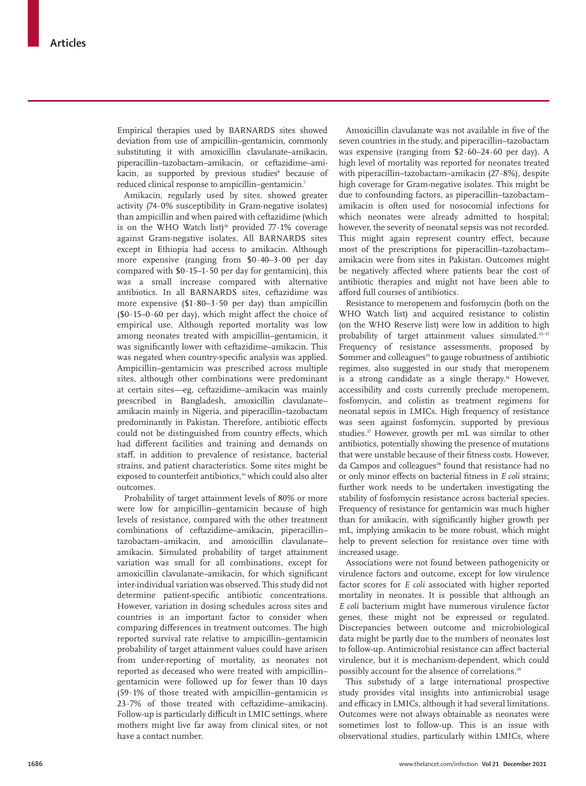Empirical therapies used by BARNARDS sites showed deviation from use of ampicillin–gentamicin, commonly substituting it with amoxicillin clavulanate–amikacin, piperacillin–tazobactam–amikacin, or ceftazidime–amikacin, as supported by previous studies<sup>s</sup> because of reduced clinical response to ampicillin–gentamicin.7

Amikacin, regularly used by sites, showed greater activity (74·0% susceptibility in Gram-negative isolates) than ampicillin and when paired with ceftazidime (which is on the WHO Watch list)<sup>10</sup> provided  $77.1\%$  coverage against Gram-negative isolates. All BARNARDS sites except in Ethiopia had access to amikacin. Although more expensive (ranging from \$0·40–3·00 per day compared with  $$0.15-1.50$  per day for gentamicin), this was a small increase compared with alternative antibiotics. In all BARNARDS sites, ceftazidime was more expensive  $($1.80-3.50$  per day) than ampicillin  $($ \$0·15–0·60 per day), which might affect the choice of empirical use. Although reported mortality was low among neonates treated with ampicillin–gentamicin, it was significantly lower with ceftazidime–amikacin. This was negated when country-specific analysis was applied. Ampicillin–gentamicin was prescribed across multiple sites, although other combinations were predominant at certain sites—eg, ceftazidime–amikacin was mainly prescribed in Bangladesh, amoxicillin clavulanate– amikacin mainly in Nigeria, and piperacillin–tazobactam predominantly in Pakistan. Therefore, antibiotic effects could not be distinguished from country effects, which had different facilities and training and demands on staff, in addition to prevalence of resistance, bacterial strains, and patient characteristics. Some sites might be exposed to counterfeit antibiotics,<sup>34</sup> which could also alter outcomes.

Probability of target attainment levels of 80% or more were low for ampicillin–gentamicin because of high levels of resistance, compared with the other treatment combinations of ceftazidime–amikacin, piperacillin– tazobactam–amikacin, and amoxicillin clavulanate– amikacin. Simulated probability of target attainment variation was small for all combinations, except for amoxicillin clavulanate–amikacin, for which significant inter-individual variation was observed. This study did not determine patient-specific antibiotic concentrations. However, variation in dosing schedules across sites and countries is an important factor to consider when comparing differences in treatment outcomes. The high reported survival rate relative to ampicillin–gentamicin probability of target attainment values could have arisen from under-reporting of mortality, as neonates not reported as deceased who were treated with ampicillin– gentamicin were followed up for fewer than 10 days (59·1% of those treated with ampicillin–gentamicin *vs* 23·7% of those treated with ceftazidime–amikacin). Follow-up is particularly difficult in LMIC settings, where mothers might live far away from clinical sites, or not have a contact number.

Amoxicillin clavulanate was not available in five of the seven countries in the study, and piperacillin–tazobactam was expensive (ranging from \$2·60–24·60 per day). A high level of mortality was reported for neonates treated with piperacillin–tazobactam–amikacin (27·8%), despite high coverage for Gram-negative isolates. This might be due to confounding factors, as piperacillin–tazobactam– amikacin is often used for nosocomial infections for which neonates were already admitted to hospital; however, the severity of neonatal sepsis was not recorded. This might again represent country effect, because most of the prescriptions for piperacillin–tazobactam– amikacin were from sites in Pakistan. Outcomes might be negatively affected where patients bear the cost of antibiotic therapies and might not have been able to afford full courses of antibiotics.

Resistance to meropenem and fosfomycin (both on the WHO Watch list) and acquired resistance to colistin (on the WHO Reserve list) were low in addition to high probability of target attainment values simulated.<sup>35-37</sup> Frequency of resistance assessments, proposed by Sommer and colleagues<sup>19</sup> to gauge robustness of antibiotic regimes, also suggested in our study that meropenem is a strong candidate as a single therapy.<sup>36</sup> However, accessibility and costs currently preclude meropenem, fosfomycin, and colistin as treatment regimens for neonatal sepsis in LMICs. High frequency of resistance was seen against fosfomycin, supported by previous studies.37 However, growth per mL was similar to other antibiotics, potentially showing the presence of mutations that were unstable because of their fitness costs. However, da Campos and colleagues<sup>38</sup> found that resistance had no or only minor effects on bacterial fitness in *E coli* strains; further work needs to be undertaken investigating the stability of fosfomycin resistance across bacterial species. Frequency of resistance for gentamicin was much higher than for amikacin, with significantly higher growth per mL, implying amikacin to be more robust, which might help to prevent selection for resistance over time with increased usage.

Associations were not found between pathogenicity or virulence factors and outcome, except for low virulence factor scores for *E coli* associated with higher reported mortality in neonates. It is possible that although an *E coli* bacterium might have numerous virulence factor genes, these might not be expressed or regulated. Discrepancies between outcome and microbiological data might be partly due to the numbers of neonates lost to follow-up. Antimicrobial resistance can affect bacterial virulence, but it is mechanism-dependent, which could possibly account for the absence of correlations.<sup>39</sup>

This substudy of a large international prospective study provides vital insights into antimicrobial usage and efficacy in LMICs, although it had several limitations. Outcomes were not always obtainable as neonates were sometimes lost to follow-up. This is an issue with observational studies, particularly within LMICs, where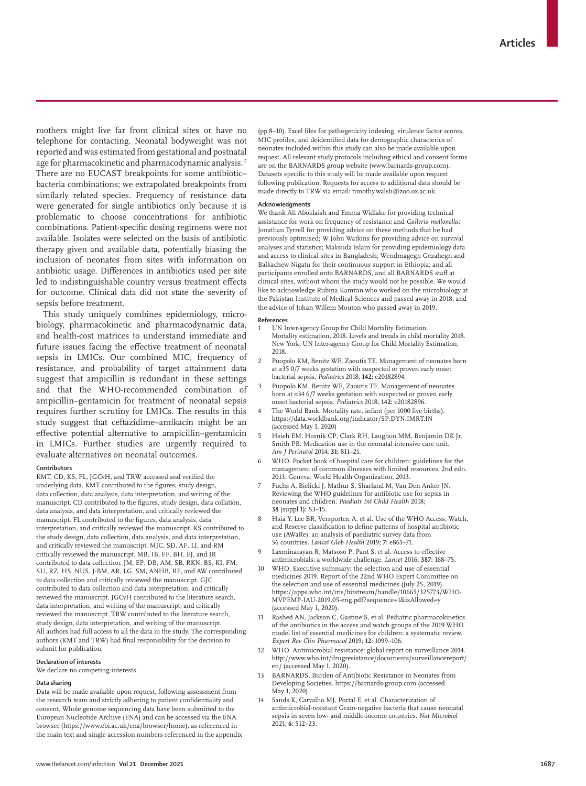mothers might live far from clinical sites or have no telephone for contacting. Neonatal bodyweight was not reported and was estimated from gestational and postnatal age for pharmacokinetic and pharmacodynamic analysis.<sup>17</sup> There are no EUCAST breakpoints for some antibiotic– bacteria combinations; we extrapolated breakpoints from similarly related species. Frequency of resistance data were generated for single antibiotics only because it is problematic to choose concentrations for antibiotic combinations. Patient-specific dosing regimens were not available. Isolates were selected on the basis of antibiotic therapy given and available data, potentially biasing the inclusion of neonates from sites with information on antibiotic usage. Differences in antibiotics used per site led to indistinguishable country versus treatment effects for outcome. Clinical data did not state the severity of sepsis before treatment.

This study uniquely combines epidemiology, microbiology, pharmacokinetic and pharmacodynamic data, and health-cost matrices to understand immediate and future issues facing the effective treatment of neonatal sepsis in LMICs. Our combined MIC, frequency of resistance, and probability of target attainment data suggest that ampicillin is redundant in these settings and that the WHO-recommended combination of ampicillin–gentamicin for treatment of neonatal sepsis requires further scrutiny for LMICs. The results in this study suggest that ceftazidime–amikacin might be an effective potential alternative to ampicillin–gentamicin in LMICs. Further studies are urgently required to evaluate alternatives on neonatal outcomes.

#### **Contributors**

KMT, CD, KS, FL, JGCvH, and TRW accessed and verified the underlying data. KMT contributed to the figures, study design, data collection, data analysis, data interpretation, and writing of the manuscript. CD contributed to the figures, study design, data collation, data analysis, and data interpretation, and critically reviewed the manuscript. FL contributed to the figures, data analysis, data interpretation, and critically reviewed the manuscript. KS contributed to the study design, data collection, data analysis, and data interpretation, and critically reviewed the manuscript. MJC, SD, AF, LJ, and RM critically reviewed the manuscript. MB, IB, FF, BH, EJ, and JR contributed to data collection. JM, EP, DB, AM, SB, RKN, BS, KI, FM, SU, RZ, HS, NUS, J-BM, AR, LG, SM, ANHB, RF, and AW contributed to data collection and critically reviewed the manuscript. GJC contributed to data collection and data interpretation, and critically reviewed the manuscript. JGCvH contributed to the literature search, data interpretation, and writing of the manuscript, and critically reviewed the manuscript. TRW contributed to the literature search, study design, data interpretation, and writing of the manuscript. All authors had full access to all the data in the study. The corresponding authors (KMT and TRW) had final responsibility for the decision to submit for publication.

# **Declaration of interests**

We declare no competing interests.

# **Data sharing**

Data will be made available upon request, following assessment from the research team and strictly adhering to patient confidentiality and consent. Whole genome sequencing data have been submitted to the European Nucleotide Archive (ENA) and can be accessed via the ENA browser (https://www.ebi.ac.uk/ena/browser/home), as referenced in the main text and single accession numbers referenced in the appendix (pp 8–10). Excel files for pathogenicity indexing, virulence factor scores, MIC profiles, and deidentified data for demographic characterics of neonates included within this study can also be made available upon request. All relevant study protocols including ethical and consent forms are on the BARNARDS group website (www.barnards-group.com). Datasets specific to this study will be made available upon request following publication. Requests for access to additional data should be made directly to TRW via email: timothy.walsh@zoo.ox.ac.uk.

#### **Acknowledgments**

We thank Ali Aboklaish and Emma Widlake for providing technical assistance for work on frequency of resistance and *Galleria mellonella*; Jonathan Tyrrell for providing advice on these methods that he had previously optimised; W John Watkins for providing advice on survival analyses and statistics; Maksuda Islam for providing epidemiology data and access to clinical sites in Bangladesh; Wendmagegn Gezahegn and Balkachew Nigatu for their continuous support in Ethiopia; and all participants enrolled onto BARNARDS, and all BARNARDS staff at clinical sites, without whom the study would not be possible. We would like to acknowledge Rubina Kamran who worked on the microbiology at the Pakistan Institute of Medical Sciences and passed away in 2018, and the advice of Johan Willem Mouton who passed away in 2019.

#### **References**

- 1 UN Inter-agency Group for Child Mortality Estimation. Mortality estimation, 2018. Levels and trends in child mortality 2018. New York: UN Inter-agency Group for Child Mortality Estimation, 2018.
- 2 Puopolo KM, Benitz WE, Zaoutis TE. Management of neonates born at ≥35 0/7 weeks gestation with suspected or proven early onset bacterial sepsis. *Pediatrics* 2018; **142:** e20182894.
- Puopolo KM, Benitz WE, Zaoutis TE. Management of neonates born at ≤34 6/7 weeks gestation with suspected or proven early onset bacterial sepsis. *Pediatrics* 2018; **142:** e20182896.
- The World Bank. Mortality rate, infant (per 1000 live births). https://data.worldbank.org/indicator/SP.DYN.IMRT.IN (accessed May 1, 2020)
- 5 Hsieh EM, Hornik CP, Clark RH, Laughon MM, Benjamin DK Jr, Smith PB. Medication use in the neonatal intensive care unit. *Am J Perinatol* 2014; **31:** 811–21.
- 6 WHO. Pocket book of hospital care for children: guidelines for the management of common illnesses with limited resources, 2nd edn. 2013. Geneva: World Health Organization, 2013.
- 7 Fuchs A, Bielicki J, Mathur S, Sharland M, Van Den Anker JN. Reviewing the WHO guidelines for antibiotic use for sepsis in neonates and children. *Paediatr Int Child Health* 2018; **38** (suppl 1)**:** S3–15.
- Hsia Y, Lee BR, Versporten A, et al. Use of the WHO Access, Watch, and Reserve classification to define patterns of hospital antibiotic use (AWaRe): an analysis of paediatric survey data from 56 countries. *Lancet Glob Health* 2019; **7:** e861–71.
- Laxminarayan R, Matsoso P, Pant S, et al. Access to effective antimicrobials: a worldwide challenge. *Lancet* 2016; **387:** 168–75.
- 10 WHO. Executive summary: the selection and use of essential medicines 2019. Report of the 22nd WHO Expert Committee on the selection and use of essential medicines (July 25, 2019). https://apps.who.int/iris/bitstream/handle/10665/325773/WHO-MVPEMP-IAU-2019.05-eng.pdf?sequence=1&isAllowed=y (accessed May 1, 2020).
- 11 Rashed AN, Jackson C, Gastine S, et al. Pediatric pharmacokinetics of the antibiotics in the access and watch groups of the 2019 WHO model list of essential medicines for children: a systematic review. *Expert Rev Clin Pharmacol* 2019; **12:** 1099–106.
- 12 WHO. Antimicrobial resistance: global report on surveillance 2014. http://www.who.int/drugresistance/documents/surveillancereport/ en/ (accessed May 1, 2020).
- 13 BARNARDS. Burden of Antibiotic Resistance in Neonates from Developing Societies. https://barnards-group.com (accessed May 1, 2020)
- 14 Sands K, Carvalho MJ, Portal E, et al. Characterization of antimicrobial-resistant Gram-negative bacteria that cause neonatal sepsis in seven low- and middle-income countries. *Nat Microbiol* 2021; **6:** 512–23.